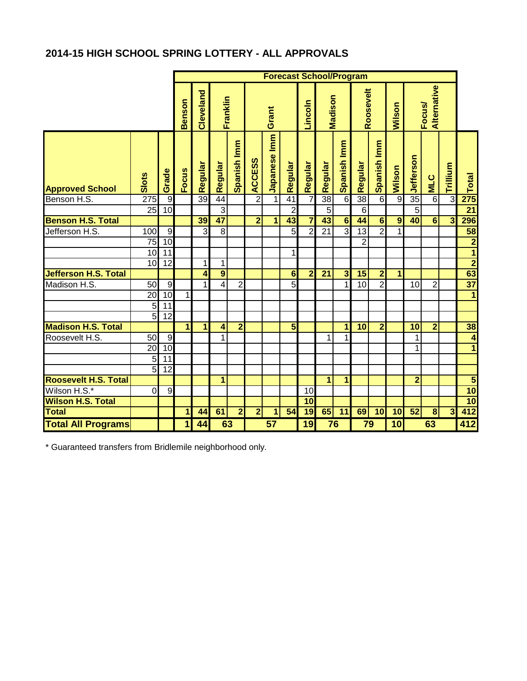## **2014-15 HIGH SCHOOL SPRING LOTTERY - ALL APPROVALS**

|                             | <b>Forecast School/Program</b> |                 |                         |              |                         |                         |                |                 |                |                         |                 |                         |                 |                         |                |                              |                |                |                         |
|-----------------------------|--------------------------------|-----------------|-------------------------|--------------|-------------------------|-------------------------|----------------|-----------------|----------------|-------------------------|-----------------|-------------------------|-----------------|-------------------------|----------------|------------------------------|----------------|----------------|-------------------------|
|                             |                                |                 |                         | Cleveland    | Franklin                |                         | Grant          |                 |                | Lincoln                 | Madison         |                         | Roosevelt       |                         | Wilson         | Focus/<br>Alternative        |                |                |                         |
| <b>Approved School</b>      | <b>Slots</b>                   | Grade           | Focus                   | Regular      | Regular                 | Spanish Imm             | <b>ACCESS</b>  | Japanese Imm    | Regular        | Regular                 | Regular         | Spanish Imm             | Regular         | Spanish Imm             | Wilson         | ယ <mark>္တ Je</mark> fferson | <b>STM</b>     | Trillium       | Total                   |
| Benson H.S.                 | 275                            | $\overline{9}$  |                         | 39           | 44                      |                         | $\overline{2}$ |                 | 41             | 7                       | 38              | 6                       | 38              | 6                       | $\overline{9}$ |                              | $\overline{6}$ | $\overline{3}$ | 275                     |
|                             | 25                             | $\overline{10}$ |                         |              | $\overline{3}$          |                         |                |                 | $\overline{c}$ |                         | 5               |                         | 6 <sup>1</sup>  |                         |                | $\overline{5}$               |                |                | $\overline{21}$         |
| <b>Benson H.S. Total</b>    |                                |                 |                         | 39           | 47                      |                         | $\overline{2}$ | 1               | 43             | $\overline{\mathbf{z}}$ | 43              | 6                       | 44              | $6 \overline{6}$        | $\overline{9}$ | 40                           | 6              | $\overline{3}$ | 296                     |
| Jefferson H.S.              | 100                            | g               |                         | ω            | $\overline{8}$          |                         |                |                 | 5              | $\overline{2}$          | $\overline{21}$ | 3                       | $\overline{13}$ | $\overline{2}$          | $\overline{1}$ |                              |                |                | 58                      |
|                             | $\overline{75}$                | 10              |                         |              |                         |                         |                |                 |                |                         |                 |                         | $\overline{2}$  |                         |                |                              |                |                | $\overline{2}$          |
|                             | 10                             | 11              |                         |              |                         |                         |                |                 | 1              |                         |                 |                         |                 |                         |                |                              |                |                | $\overline{1}$          |
|                             | 10                             | 12              |                         | 1            | 1                       |                         |                |                 |                |                         |                 |                         |                 |                         |                |                              |                |                | $\overline{2}$          |
| <b>Jefferson H.S. Total</b> |                                |                 |                         | 4            | $\overline{9}$          |                         |                |                 | 6              | $\overline{\mathbf{c}}$ | $\overline{21}$ | $\overline{\mathbf{3}}$ | 15              | $\overline{\mathbf{c}}$ | $\vert$        |                              |                |                | 63                      |
| Madison H.S.                | 50                             | 9               |                         | 1            | $\overline{\mathbf{4}}$ | $\overline{2}$          |                |                 | 5              |                         |                 | 1                       | 10              | $\overline{2}$          |                | 10                           | $\overline{2}$ |                | 37                      |
|                             | 20                             | 10              | 1                       |              |                         |                         |                |                 |                |                         |                 |                         |                 |                         |                |                              |                |                | $\overline{\mathbf{1}}$ |
|                             | 5                              | $\overline{11}$ |                         |              |                         |                         |                |                 |                |                         |                 |                         |                 |                         |                |                              |                |                |                         |
|                             | $\overline{5}$                 | 12              |                         |              |                         |                         |                |                 |                |                         |                 |                         |                 |                         |                |                              |                |                |                         |
| <b>Madison H.S. Total</b>   |                                |                 | $\overline{\mathbf{1}}$ | $\mathbf{1}$ | 4                       | $\overline{\mathbf{2}}$ |                |                 | 5              |                         |                 | 1                       | 10              | $\overline{2}$          |                | 10                           | $\overline{2}$ |                | 38                      |
| Roosevelt H.S.              | 50                             | g               |                         |              | 1                       |                         |                |                 |                |                         | 1               | $\mathbf{1}$            |                 |                         |                | $\mathbf{1}$                 |                |                | $\overline{\mathbf{A}}$ |
|                             | 20                             | 10              |                         |              |                         |                         |                |                 |                |                         |                 |                         |                 |                         |                | 1                            |                |                | $\overline{\mathbf{1}}$ |
|                             | 5                              | 11              |                         |              |                         |                         |                |                 |                |                         |                 |                         |                 |                         |                |                              |                |                |                         |
|                             | $\overline{5}$                 | 12              |                         |              |                         |                         |                |                 |                |                         |                 |                         |                 |                         |                |                              |                |                |                         |
| <b>Roosevelt H.S. Total</b> |                                |                 |                         |              | 1                       |                         |                |                 |                |                         | $\overline{1}$  | $\overline{1}$          |                 |                         |                | $\overline{2}$               |                |                | $\overline{\mathbf{5}}$ |
| Wilson H.S.*                | $\overline{0}$                 | 9               |                         |              |                         |                         |                |                 |                | $\overline{10}$         |                 |                         |                 |                         |                |                              |                |                | $\overline{10}$         |
| <b>Wilson H.S. Total</b>    |                                |                 |                         |              |                         |                         |                |                 |                | 10                      |                 |                         |                 |                         |                |                              |                |                | 10                      |
| <b>Total</b>                |                                |                 | $\mathbf{1}$            | 44           | 61                      | $\overline{2}$          | $\overline{2}$ | 1               | 54             | 19                      | 65              | 11                      | 69              | 10                      | 10             | 52                           | 8              | 3              | 412                     |
| <b>Total All Programs</b>   |                                |                 | $\mathbf 1$             | 44           | 63                      |                         |                | $\overline{57}$ |                | 19                      | 76              |                         | 79              |                         | 10             | 63                           |                |                | 412                     |

\* Guaranteed transfers from Bridlemile neighborhood only.